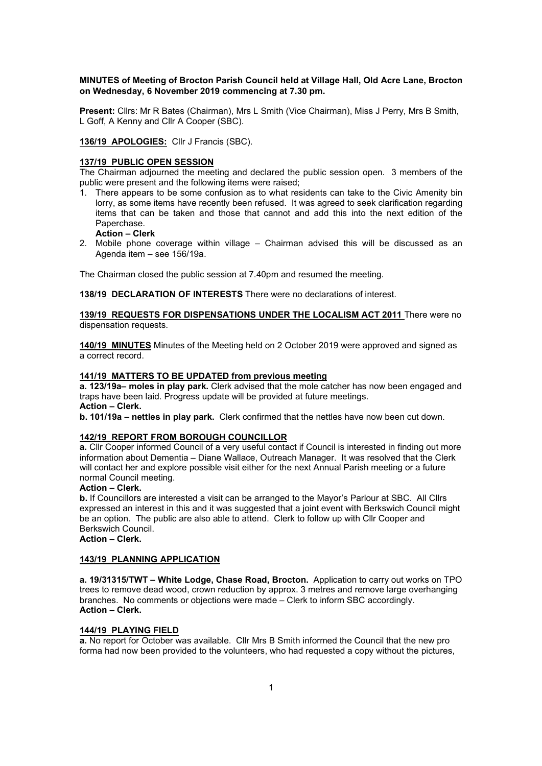### MINUTES of Meeting of Brocton Parish Council held at Village Hall, Old Acre Lane, Brocton on Wednesday, 6 November 2019 commencing at 7.30 pm.

Present: Cllrs: Mr R Bates (Chairman), Mrs L Smith (Vice Chairman), Miss J Perry, Mrs B Smith, L Goff, A Kenny and Cllr A Cooper (SBC).

136/19 APOLOGIES: Cllr J Francis (SBC).

### 137/19 PUBLIC OPEN SESSION

The Chairman adjourned the meeting and declared the public session open. 3 members of the public were present and the following items were raised;

1. There appears to be some confusion as to what residents can take to the Civic Amenity bin lorry, as some items have recently been refused. It was agreed to seek clarification regarding items that can be taken and those that cannot and add this into the next edition of the Paperchase.

# Action – Clerk

2. Mobile phone coverage within village – Chairman advised this will be discussed as an Agenda item – see 156/19a.

The Chairman closed the public session at 7.40pm and resumed the meeting.

138/19 DECLARATION OF INTERESTS There were no declarations of interest.

### 139/19 REQUESTS FOR DISPENSATIONS UNDER THE LOCALISM ACT 2011 There were no dispensation requests.

140/19 MINUTES Minutes of the Meeting held on 2 October 2019 were approved and signed as a correct record.

#### 141/19 MATTERS TO BE UPDATED from previous meeting

a. 123/19a– moles in play park. Clerk advised that the mole catcher has now been engaged and traps have been laid. Progress update will be provided at future meetings. Action – Clerk.

b. 101/19a – nettles in play park. Clerk confirmed that the nettles have now been cut down.

### 142/19 REPORT FROM BOROUGH COUNCILLOR

a. Cllr Cooper informed Council of a very useful contact if Council is interested in finding out more information about Dementia – Diane Wallace, Outreach Manager. It was resolved that the Clerk will contact her and explore possible visit either for the next Annual Parish meeting or a future normal Council meeting.

### Action – Clerk.

b. If Councillors are interested a visit can be arranged to the Mayor's Parlour at SBC. All Cllrs expressed an interest in this and it was suggested that a joint event with Berkswich Council might be an option. The public are also able to attend. Clerk to follow up with Cllr Cooper and Berkswich Council.

Action – Clerk.

#### 143/19 PLANNING APPLICATION

a. 19/31315/TWT – White Lodge, Chase Road, Brocton. Application to carry out works on TPO trees to remove dead wood, crown reduction by approx. 3 metres and remove large overhanging branches. No comments or objections were made – Clerk to inform SBC accordingly. Action – Clerk.

#### 144/19 PLAYING FIELD

a. No report for October was available. Cllr Mrs B Smith informed the Council that the new pro forma had now been provided to the volunteers, who had requested a copy without the pictures,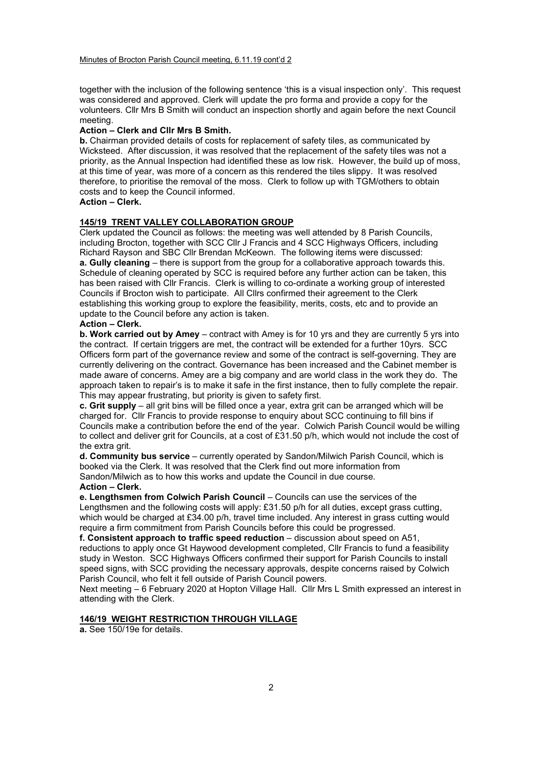together with the inclusion of the following sentence 'this is a visual inspection only'. This request was considered and approved. Clerk will update the pro forma and provide a copy for the volunteers. Cllr Mrs B Smith will conduct an inspection shortly and again before the next Council meeting.

## Action – Clerk and Cllr Mrs B Smith.

b. Chairman provided details of costs for replacement of safety tiles, as communicated by Wicksteed. After discussion, it was resolved that the replacement of the safety tiles was not a priority, as the Annual Inspection had identified these as low risk. However, the build up of moss, at this time of year, was more of a concern as this rendered the tiles slippy. It was resolved therefore, to prioritise the removal of the moss. Clerk to follow up with TGM/others to obtain costs and to keep the Council informed.

### Action – Clerk.

### 145/19 TRENT VALLEY COLLABORATION GROUP

Clerk updated the Council as follows: the meeting was well attended by 8 Parish Councils, including Brocton, together with SCC Cllr J Francis and 4 SCC Highways Officers, including Richard Rayson and SBC Cllr Brendan McKeown. The following items were discussed: a. Gully cleaning – there is support from the group for a collaborative approach towards this. Schedule of cleaning operated by SCC is required before any further action can be taken, this has been raised with Cllr Francis. Clerk is willing to co-ordinate a working group of interested Councils if Brocton wish to participate. All Cllrs confirmed their agreement to the Clerk establishing this working group to explore the feasibility, merits, costs, etc and to provide an update to the Council before any action is taken.

### Action – Clerk.

b. Work carried out by Amey – contract with Amey is for 10 yrs and they are currently 5 yrs into the contract. If certain triggers are met, the contract will be extended for a further 10yrs. SCC Officers form part of the governance review and some of the contract is self-governing. They are currently delivering on the contract. Governance has been increased and the Cabinet member is made aware of concerns. Amey are a big company and are world class in the work they do. The approach taken to repair's is to make it safe in the first instance, then to fully complete the repair. This may appear frustrating, but priority is given to safety first.

c. Grit supply – all grit bins will be filled once a year, extra grit can be arranged which will be charged for. Cllr Francis to provide response to enquiry about SCC continuing to fill bins if Councils make a contribution before the end of the year. Colwich Parish Council would be willing to collect and deliver grit for Councils, at a cost of £31.50 p/h, which would not include the cost of the extra grit.

d. Community bus service – currently operated by Sandon/Milwich Parish Council, which is booked via the Clerk. It was resolved that the Clerk find out more information from Sandon/Milwich as to how this works and update the Council in due course. Action – Clerk.

e. Lengthsmen from Colwich Parish Council – Councils can use the services of the Lengthsmen and the following costs will apply: £31.50 p/h for all duties, except grass cutting, which would be charged at £34.00 p/h, travel time included. Any interest in grass cutting would require a firm commitment from Parish Councils before this could be progressed.

f. Consistent approach to traffic speed reduction – discussion about speed on A51, reductions to apply once Gt Haywood development completed, Cllr Francis to fund a feasibility study in Weston. SCC Highways Officers confirmed their support for Parish Councils to install speed signs, with SCC providing the necessary approvals, despite concerns raised by Colwich Parish Council, who felt it fell outside of Parish Council powers.

Next meeting – 6 February 2020 at Hopton Village Hall. Cllr Mrs L Smith expressed an interest in attending with the Clerk.

### 146/19 WEIGHT RESTRICTION THROUGH VILLAGE

a. See 150/19e for details.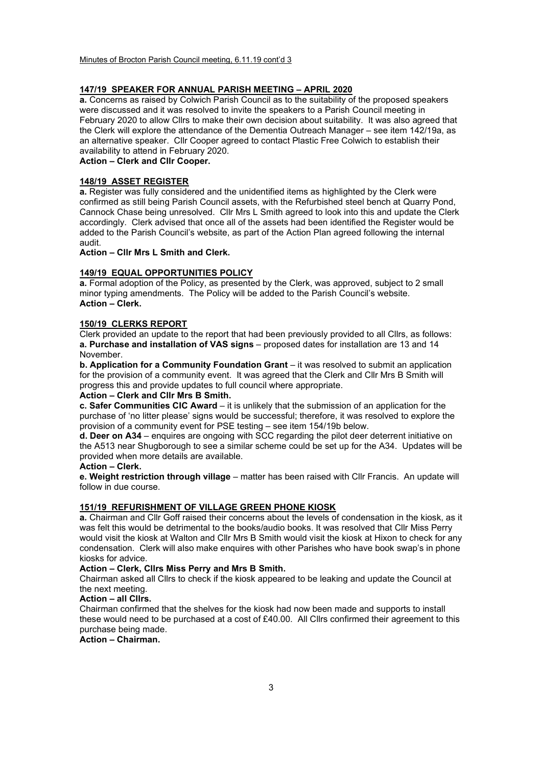#### 147/19 SPEAKER FOR ANNUAL PARISH MEETING – APRIL 2020

a. Concerns as raised by Colwich Parish Council as to the suitability of the proposed speakers were discussed and it was resolved to invite the speakers to a Parish Council meeting in February 2020 to allow Cllrs to make their own decision about suitability. It was also agreed that the Clerk will explore the attendance of the Dementia Outreach Manager – see item 142/19a, as an alternative speaker. Cllr Cooper agreed to contact Plastic Free Colwich to establish their availability to attend in February 2020.

Action – Clerk and Cllr Cooper.

#### 148/19 ASSET REGISTER

a. Register was fully considered and the unidentified items as highlighted by the Clerk were confirmed as still being Parish Council assets, with the Refurbished steel bench at Quarry Pond, Cannock Chase being unresolved. Cllr Mrs L Smith agreed to look into this and update the Clerk accordingly. Clerk advised that once all of the assets had been identified the Register would be added to the Parish Council's website, as part of the Action Plan agreed following the internal audit.

Action – Cllr Mrs L Smith and Clerk.

#### 149/19 EQUAL OPPORTUNITIES POLICY

a. Formal adoption of the Policy, as presented by the Clerk, was approved, subject to 2 small minor typing amendments. The Policy will be added to the Parish Council's website. Action – Clerk.

#### 150/19 CLERKS REPORT

Clerk provided an update to the report that had been previously provided to all Cllrs, as follows: a. Purchase and installation of VAS signs – proposed dates for installation are 13 and 14 November.

b. Application for a Community Foundation Grant – it was resolved to submit an application for the provision of a community event. It was agreed that the Clerk and Cllr Mrs B Smith will progress this and provide updates to full council where appropriate.

### Action – Clerk and Cllr Mrs B Smith.

c. Safer Communities CIC Award – it is unlikely that the submission of an application for the purchase of 'no litter please' signs would be successful; therefore, it was resolved to explore the provision of a community event for PSE testing – see item 154/19b below.

d. Deer on A34 – enquires are ongoing with SCC regarding the pilot deer deterrent initiative on the A513 near Shugborough to see a similar scheme could be set up for the A34. Updates will be provided when more details are available.

#### Action – Clerk.

e. Weight restriction through village – matter has been raised with Cllr Francis. An update will follow in due course.

### 151/19 REFURISHMENT OF VILLAGE GREEN PHONE KIOSK

a. Chairman and Cllr Goff raised their concerns about the levels of condensation in the kiosk, as it was felt this would be detrimental to the books/audio books. It was resolved that Cllr Miss Perry would visit the kiosk at Walton and Cllr Mrs B Smith would visit the kiosk at Hixon to check for any condensation. Clerk will also make enquires with other Parishes who have book swap's in phone kiosks for advice.

#### Action – Clerk, Cllrs Miss Perry and Mrs B Smith.

Chairman asked all Cllrs to check if the kiosk appeared to be leaking and update the Council at the next meeting.

#### Action – all Cllrs.

Chairman confirmed that the shelves for the kiosk had now been made and supports to install these would need to be purchased at a cost of £40.00. All Cllrs confirmed their agreement to this purchase being made.

### Action – Chairman.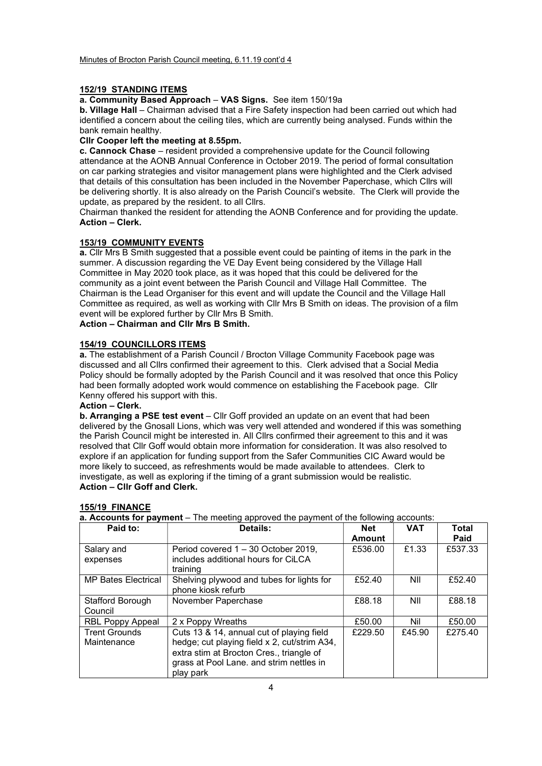### 152/19 STANDING ITEMS

a. Community Based Approach – VAS Signs. See item 150/19a

b. Village Hall – Chairman advised that a Fire Safety inspection had been carried out which had identified a concern about the ceiling tiles, which are currently being analysed. Funds within the bank remain healthy.

#### Cllr Cooper left the meeting at 8.55pm.

c. Cannock Chase – resident provided a comprehensive update for the Council following attendance at the AONB Annual Conference in October 2019. The period of formal consultation on car parking strategies and visitor management plans were highlighted and the Clerk advised that details of this consultation has been included in the November Paperchase, which Cllrs will be delivering shortly. It is also already on the Parish Council's website. The Clerk will provide the update, as prepared by the resident. to all Cllrs.

Chairman thanked the resident for attending the AONB Conference and for providing the update. Action – Clerk.

#### 153/19 COMMUNITY EVENTS

a. Cllr Mrs B Smith suggested that a possible event could be painting of items in the park in the summer. A discussion regarding the VE Day Event being considered by the Village Hall Committee in May 2020 took place, as it was hoped that this could be delivered for the community as a joint event between the Parish Council and Village Hall Committee. The Chairman is the Lead Organiser for this event and will update the Council and the Village Hall Committee as required, as well as working with Cllr Mrs B Smith on ideas. The provision of a film event will be explored further by Cllr Mrs B Smith.

## Action – Chairman and Cllr Mrs B Smith.

#### 154/19 COUNCILLORS ITEMS

a. The establishment of a Parish Council / Brocton Village Community Facebook page was discussed and all Cllrs confirmed their agreement to this. Clerk advised that a Social Media Policy should be formally adopted by the Parish Council and it was resolved that once this Policy had been formally adopted work would commence on establishing the Facebook page. Cllr Kenny offered his support with this.

### Action – Clerk.

b. Arranging a PSE test event – Cllr Goff provided an update on an event that had been delivered by the Gnosall Lions, which was very well attended and wondered if this was something the Parish Council might be interested in. All Cllrs confirmed their agreement to this and it was resolved that Cllr Goff would obtain more information for consideration. It was also resolved to explore if an application for funding support from the Safer Communities CIC Award would be more likely to succeed, as refreshments would be made available to attendees. Clerk to investigate, as well as exploring if the timing of a grant submission would be realistic. Action – Cllr Goff and Clerk.

| Paid to:                    | Details:                                                        | Net           | <b>VAT</b> | Total   |
|-----------------------------|-----------------------------------------------------------------|---------------|------------|---------|
|                             |                                                                 | <b>Amount</b> |            | Paid    |
| Salary and                  | Period covered 1 - 30 October 2019,                             | £536.00       | £1.33      | £537.33 |
| expenses                    | includes additional hours for CiLCA<br>training                 |               |            |         |
| <b>MP Bates Electrical</b>  | Shelving plywood and tubes for lights for<br>phone kiosk refurb | £52.40        | NII        | £52.40  |
| Stafford Borough<br>Council | November Paperchase                                             | £88.18        | NII        | £88.18  |
| <b>RBL Poppy Appeal</b>     | 2 x Poppy Wreaths                                               | £50.00        | Nil        | £50.00  |
| <b>Trent Grounds</b>        | Cuts 13 & 14, annual cut of playing field                       | £229.50       | £45.90     | £275.40 |
| Maintenance                 | hedge; cut playing field x 2, cut/strim A34,                    |               |            |         |
|                             | extra stim at Brocton Cres., triangle of                        |               |            |         |
|                             | grass at Pool Lane. and strim nettles in                        |               |            |         |
|                             | play park                                                       |               |            |         |

#### 155/19 FINANCE

 $\overline{a}$  **Accounts for payment** – The meeting approved the payment of the following accounts: